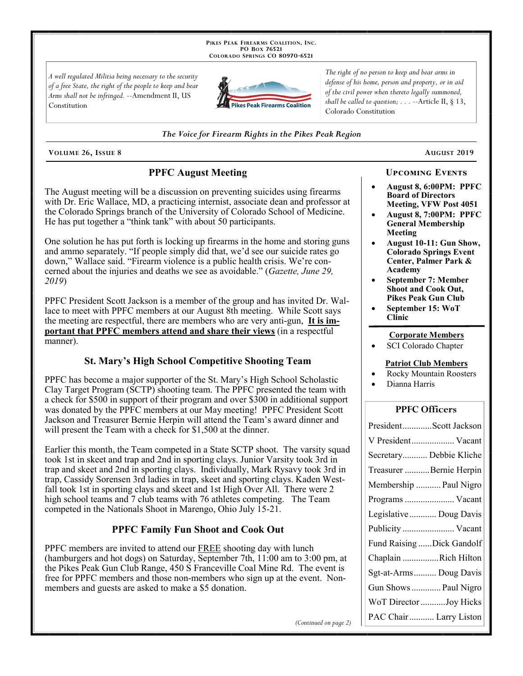PIKES PEAK FIREARMS COALITION, INC. PO Box 76521 COLORADO SPRINGS CO 80970-6521

A well regulated Militia being necessary to the security of a free State, the right of the people to keep and bear Arms shall not be infringed. --Amendment II, US Constitution



The right of no person to keep and bear arms in defense of his home, person and property, or in aid of the civil power when thereto legally summoned, shall be called to question;  $\ldots$  --Article II, § 13, Colorado Constitution

#### The Voice for Firearm Rights in the Pikes Peak Region

VOLUME 26, ISSUE 8

# **PPFC August Meeting**

The August meeting will be a discussion on preventing suicides using firearms with Dr. Eric Wallace, MD, a practicing internist, associate dean and professor at the Colorado Springs branch of the University of Colorado School of Medicine. He has put together a "think tank" with about 50 participants.

One solution he has put forth is locking up firearms in the home and storing guns and ammo separately. "If people simply did that, we'd see our suicide rates go down," Wallace said. "Firearm violence is a public health crisis. We're concerned about the injuries and deaths we see as avoidable." (Gazette, June 29, 2019)

PPFC President Scott Jackson is a member of the group and has invited Dr. Wallace to meet with PPFC members at our August 8th meeting. While Scott says the meeting are respectful, there are members who are very anti-gun. It is important that PPFC members attend and share their views (in a respectful manner).

## **St. Mary's High School Competitive Shooting Team**

PPFC has become a major supporter of the St. Mary's High School Scholastic Clay Target Program (SCTP) shooting team. The PPFC presented the team with a check for  $$500$  in support of their program and over  $$300$  in additional support was donated by the PPFC members at our May meeting! PPFC President Scott Jackson and Treasurer Bernie Herpin will attend the Team's award dinner and will present the Team with a check for \$1,500 at the dinner.

Earlier this month, the Team competed in a State SCTP shoot. The varsity squad took 1st in skeet and trap and 2nd in sporting clays. Junior Varsity took 3rd in trap and skeet and 2nd in sporting clays. Individually, Mark Rysavy took 3rd in trap, Cassidy Sorensen 3rd ladies in trap, skeet and sporting clays. Kaden Westfall took 1st in sporting clays and skeet and 1st High Over All. There were 2 high school teams and 7 club teams with 76 athletes competing. The Team competed in the Nationals Shoot in Marengo, Ohio July 15-21.

# **PPFC Family Fun Shoot and Cook Out**

PPFC members are invited to attend our FREE shooting day with lunch (hamburgers and hot dogs) on Saturday, September 7th, 11:00 am to 3:00 pm, at the Pikes Peak Gun Club Range, 450 S Franceville Coal Mine Rd. The event is free for PPFC members and those non-members who sign up at the event. Nonmembers and guests are asked to make a \$5 donation.

August 2019

August 8, 6:00PM: PPFC **Board of Directors** Meeting, VFW Post 4051

**UPCOMING EVENTS** 

- August 8, 7:00PM: PPFC **General Membership** Meeting
- August 10-11: Gun Show, **Colorado Springs Event** Center, Palmer Park & Academy
- **September 7: Member Shoot and Cook Out. Pikes Peak Gun Club**
- September 15: WoT **Clinic**

#### **Corporate Members**

SCI Colorado Chapter

#### **Patriot Club Members**

- **Rocky Mountain Roosters**
- Dianna Harris

### **PPFC Officers**

| PresidentScott Jackson    |
|---------------------------|
| V President Vacant        |
| Secretary Debbie Kliche   |
| Treasurer Bernie Herpin   |
| Membership  Paul Nigro    |
| Programs  Vacant          |
| Legislative  Doug Davis   |
|                           |
| Publicity  Vacant         |
| Fund Raising Dick Gandolf |
| Chaplain Rich Hilton      |
| Sgt-at-Arms Doug Davis    |
| Gun Shows  Paul Nigro     |
| WoT Director Joy Hicks    |

(Continued on page 2)